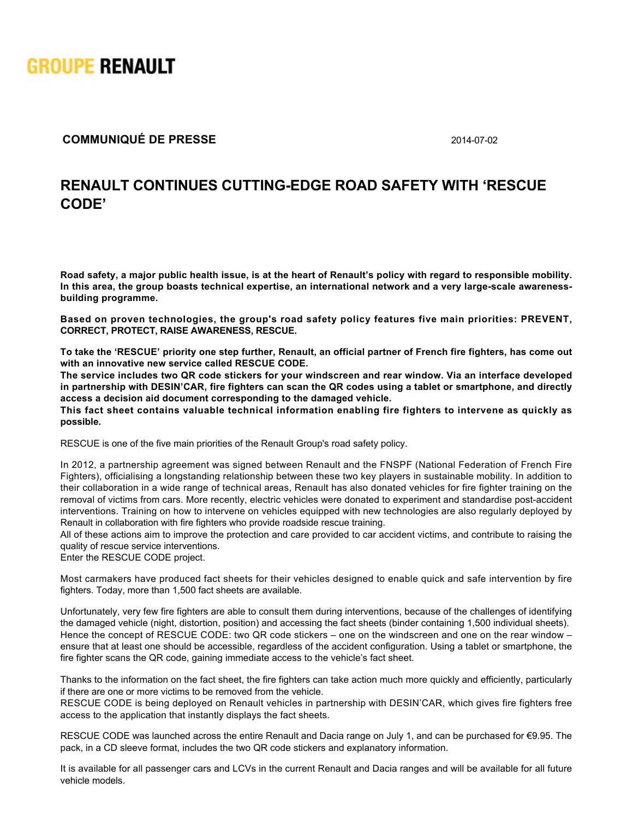

## **COMMUNIQUÉ DE PRESSE** 2014-07-02

## **RENAULT CONTINUES CUTTINGEDGE ROAD SAFETY WITH 'RESCUE CODE'**

**Road safety, a major public health issue, is at the heart of Renault's policy with regard to responsible mobility.** In this area, the group boasts technical expertise, an international network and a very large-scale awareness**building programme.** 

**Based on proven technologies, the group's road safety policy features five main priorities: PREVENT, CORRECT, PROTECT, RAISE AWARENESS, RESCUE.**

**To take the 'RESCUE' priority one step further, Renault, an official partner of French fire fighters, has come out with an innovative new service called RESCUE CODE.** 

**The service includes two QR code stickers for your windscreen and rear window. Via an interface developed in partnership with DESIN'CAR, fire fighters can scan the QR codes using a tablet or smartphone, and directly access a decision aid document corresponding to the damaged vehicle.**

**This fact sheet contains valuable technical information enabling fire fighters to intervene as quickly as possible.**

RESCUE is one of the five main priorities of the Renault Group's road safety policy.

In 2012, a partnership agreement was signed between Renault and the FNSPF (National Federation of French Fire Fighters), officialising a longstanding relationship between these two key players in sustainable mobility. In addition to their collaboration in a wide range of technical areas, Renault has also donated vehicles for fire fighter training on the removal of victims from cars. More recently, electric vehicles were donated to experiment and standardise post-accident interventions. Training on how to intervene on vehicles equipped with new technologies are also regularly deployed by Renault in collaboration with fire fighters who provide roadside rescue training.

All of these actions aim to improve the protection and care provided to car accident victims, and contribute to raising the quality of rescue service interventions.

Enter the RESCUE CODE project.

Most carmakers have produced fact sheets for their vehicles designed to enable quick and safe intervention by fire fighters. Today, more than 1,500 fact sheets are available.

Unfortunately, very few fire fighters are able to consult them during interventions, because of the challenges of identifying the damaged vehicle (night, distortion, position) and accessing the fact sheets (binder containing 1,500 individual sheets). Hence the concept of RESCUE CODE: two QR code stickers – one on the windscreen and one on the rear window – ensure that at least one should be accessible, regardless of the accident configuration. Using a tablet or smartphone, the fire fighter scans the QR code, gaining immediate access to the vehicle's fact sheet.

Thanks to the information on the fact sheet, the fire fighters can take action much more quickly and efficiently, particularly if there are one or more victims to be removed from the vehicle.

RESCUE CODE is being deployed on Renault vehicles in partnership with DESIN'CAR, which gives fire fighters free access to the application that instantly displays the fact sheets.

RESCUE CODE was launched across the entire Renault and Dacia range on July 1, and can be purchased for €9.95. The pack, in a CD sleeve format, includes the two QR code stickers and explanatory information.

It is available for all passenger cars and LCVs in the current Renault and Dacia ranges and will be available for all future vehicle models.